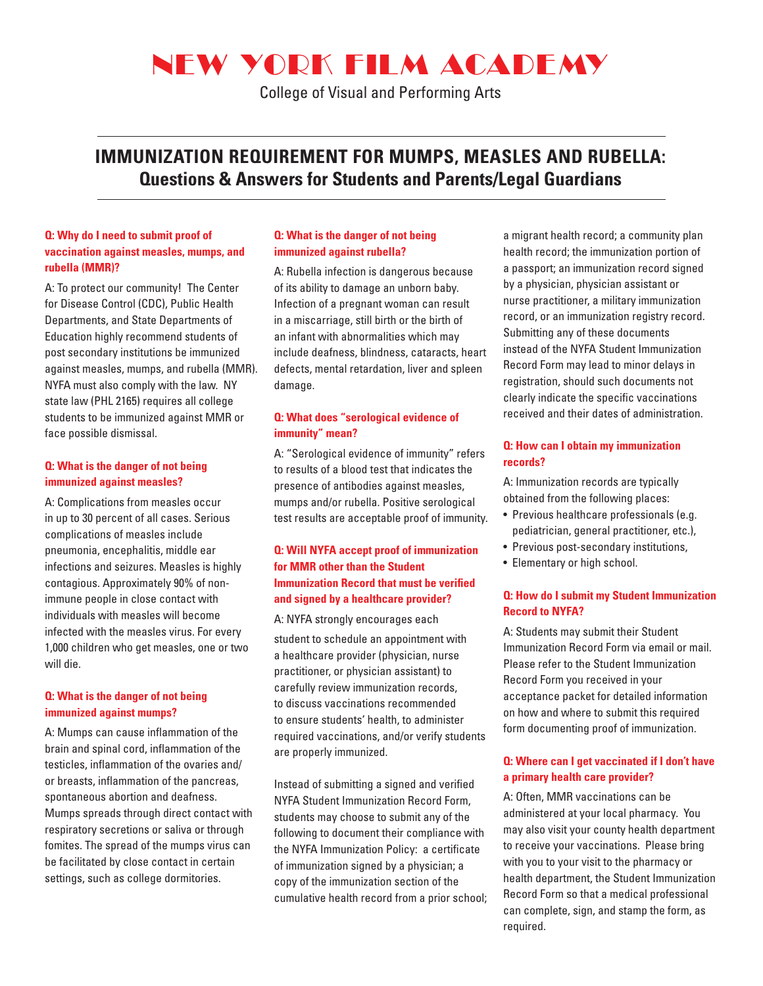# NEW YORK FILM ACADEMY

College of Visual and Performing Arts

### **IMMUNIZATION REQUIREMENT FOR MUMPS, MEASLES AND RUBELLA: Questions & Answers for Students and Parents/Legal Guardians**

#### **Q: Why do I need to submit proof of vaccination against measles, mumps, and rubella (MMR)?**

A: To protect our community! The Center for Disease Control (CDC), Public Health Departments, and State Departments of Education highly recommend students of post secondary institutions be immunized against measles, mumps, and rubella (MMR). NYFA must also comply with the law. NY state law (PHL 2165) requires all college students to be immunized against MMR or face possible dismissal.

#### **Q: What is the danger of not being immunized against measles?**

A: Complications from measles occur in up to 30 percent of all cases. Serious complications of measles include pneumonia, encephalitis, middle ear infections and seizures. Measles is highly contagious. Approximately 90% of nonimmune people in close contact with individuals with measles will become infected with the measles virus. For every 1,000 children who get measles, one or two will die.

#### **Q: What is the danger of not being immunized against mumps?**

A: Mumps can cause inflammation of the brain and spinal cord, inflammation of the testicles, inflammation of the ovaries and/ or breasts, inflammation of the pancreas, spontaneous abortion and deafness. Mumps spreads through direct contact with respiratory secretions or saliva or through fomites. The spread of the mumps virus can be facilitated by close contact in certain settings, such as college dormitories.

#### **Q: What is the danger of not being immunized against rubella?**

A: Rubella infection is dangerous because of its ability to damage an unborn baby. Infection of a pregnant woman can result in a miscarriage, still birth or the birth of an infant with abnormalities which may include deafness, blindness, cataracts, heart defects, mental retardation, liver and spleen damage.

#### **Q: What does "serological evidence of immunity" mean?**

A: "Serological evidence of immunity" refers to results of a blood test that indicates the presence of antibodies against measles, mumps and/or rubella. Positive serological test results are acceptable proof of immunity.

#### **Q: Will NYFA accept proof of immunization for MMR other than the Student Immunization Record that must be verified and signed by a healthcare provider?**

A: NYFA strongly encourages each

student to schedule an appointment with a healthcare provider (physician, nurse practitioner, or physician assistant) to carefully review immunization records, to discuss vaccinations recommended to ensure students' health, to administer required vaccinations, and/or verify students are properly immunized.

Instead of submitting a signed and verified NYFA Student Immunization Record Form, students may choose to submit any of the following to document their compliance with the NYFA Immunization Policy: a certificate of immunization signed by a physician; a copy of the immunization section of the cumulative health record from a prior school; a migrant health record; a community plan health record; the immunization portion of a passport; an immunization record signed by a physician, physician assistant or nurse practitioner, a military immunization record, or an immunization registry record. Submitting any of these documents instead of the NYFA Student Immunization Record Form may lead to minor delays in registration, should such documents not clearly indicate the specific vaccinations received and their dates of administration.

#### **Q: How can I obtain my immunization records?**

A: Immunization records are typically obtained from the following places:

- Previous healthcare professionals (e.g. pediatrician, general practitioner, etc.),
- Previous post-secondary institutions,
- Elementary or high school.

#### **Q: How do I submit my Student Immunization Record to NYFA?**

A: Students may submit their Student Immunization Record Form via email or mail. Please refer to the Student Immunization Record Form you received in your acceptance packet for detailed information on how and where to submit this required form documenting proof of immunization.

#### **Q: Where can I get vaccinated if I don't have a primary health care provider?**

A: Often, MMR vaccinations can be administered at your local pharmacy. You may also visit your county health department to receive your vaccinations. Please bring with you to your visit to the pharmacy or health department, the Student Immunization Record Form so that a medical professional can complete, sign, and stamp the form, as required.